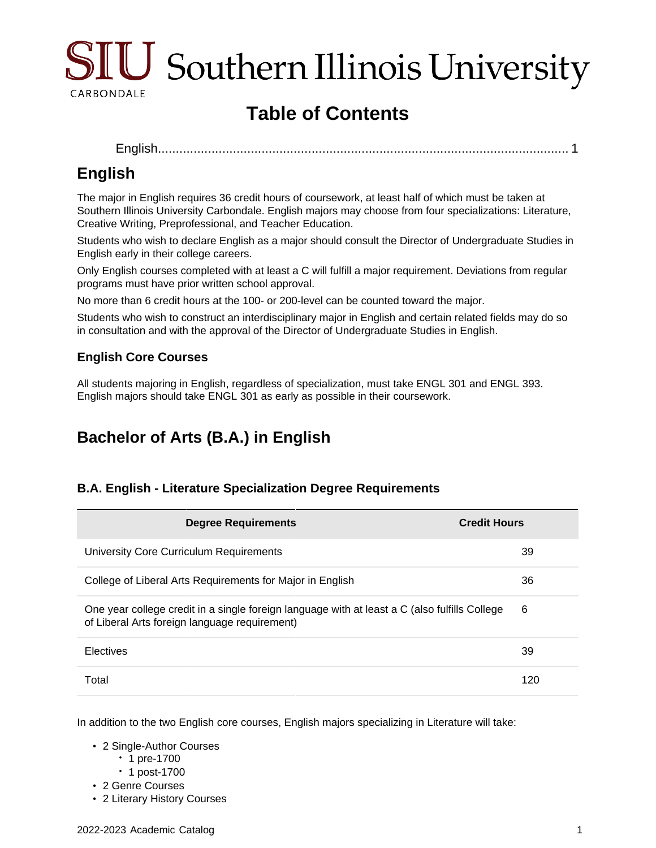

# **Table of Contents**

```
English................................................................................................................... 1
```
# <span id="page-0-0"></span>**English**

The major in English requires 36 credit hours of coursework, at least half of which must be taken at Southern Illinois University Carbondale. English majors may choose from four specializations: Literature, Creative Writing, Preprofessional, and Teacher Education.

Students who wish to declare English as a major should consult the Director of Undergraduate Studies in English early in their college careers.

Only English courses completed with at least a C will fulfill a major requirement. Deviations from regular programs must have prior written school approval.

No more than 6 credit hours at the 100- or 200-level can be counted toward the major.

Students who wish to construct an interdisciplinary major in English and certain related fields may do so in consultation and with the approval of the Director of Undergraduate Studies in English.

## **English Core Courses**

All students majoring in English, regardless of specialization, must take ENGL 301 and ENGL 393. English majors should take ENGL 301 as early as possible in their coursework.

# **Bachelor of Arts (B.A.) in English**

## **B.A. English - Literature Specialization Degree Requirements**

| <b>Degree Requirements</b>                                                                                                                     | <b>Credit Hours</b> |
|------------------------------------------------------------------------------------------------------------------------------------------------|---------------------|
| University Core Curriculum Requirements                                                                                                        | 39                  |
| College of Liberal Arts Requirements for Major in English                                                                                      | 36                  |
| One year college credit in a single foreign language with at least a C (also fulfills College<br>of Liberal Arts foreign language requirement) | 6                   |
| <b>Electives</b>                                                                                                                               | 39                  |
| Total                                                                                                                                          | 120                 |

In addition to the two English core courses, English majors specializing in Literature will take:

- 2 Single-Author Courses
	- 1 pre-1700
	- 1 post-1700
- 2 Genre Courses
- 2 Literary History Courses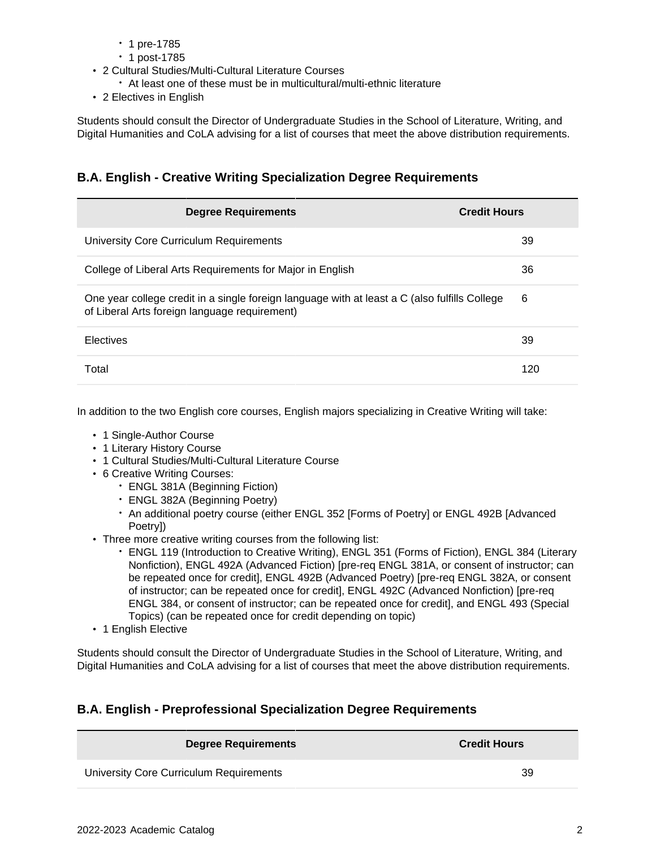- 1 pre-1785
- 1 post-1785
- 2 Cultural Studies/Multi-Cultural Literature Courses
	- At least one of these must be in multicultural/multi-ethnic literature
- 2 Electives in English

Students should consult the Director of Undergraduate Studies in the School of Literature, Writing, and Digital Humanities and CoLA advising for a list of courses that meet the above distribution requirements.

## **B.A. English - Creative Writing Specialization Degree Requirements**

| <b>Degree Requirements</b>                                                                                                                     | <b>Credit Hours</b> |
|------------------------------------------------------------------------------------------------------------------------------------------------|---------------------|
| University Core Curriculum Requirements                                                                                                        | 39                  |
| College of Liberal Arts Requirements for Major in English                                                                                      | 36                  |
| One year college credit in a single foreign language with at least a C (also fulfills College<br>of Liberal Arts foreign language requirement) | 6                   |
| <b>Electives</b>                                                                                                                               | 39                  |
| Total                                                                                                                                          | 120                 |

In addition to the two English core courses, English majors specializing in Creative Writing will take:

- 1 Single-Author Course
- 1 Literary History Course
- 1 Cultural Studies/Multi-Cultural Literature Course
- 6 Creative Writing Courses:
	- ENGL 381A (Beginning Fiction)
	- ENGL 382A (Beginning Poetry)
	- An additional poetry course (either ENGL 352 [Forms of Poetry] or ENGL 492B [Advanced Poetry])
- Three more creative writing courses from the following list:
	- ENGL 119 (Introduction to Creative Writing), ENGL 351 (Forms of Fiction), ENGL 384 (Literary Nonfiction), ENGL 492A (Advanced Fiction) [pre-req ENGL 381A, or consent of instructor; can be repeated once for credit], ENGL 492B (Advanced Poetry) [pre-req ENGL 382A, or consent of instructor; can be repeated once for credit], ENGL 492C (Advanced Nonfiction) [pre-req ENGL 384, or consent of instructor; can be repeated once for credit], and ENGL 493 (Special Topics) (can be repeated once for credit depending on topic)
- 1 English Elective

Students should consult the Director of Undergraduate Studies in the School of Literature, Writing, and Digital Humanities and CoLA advising for a list of courses that meet the above distribution requirements.

## **B.A. English - Preprofessional Specialization Degree Requirements**

| Degree Requirements                     | <b>Credit Hours</b> |
|-----------------------------------------|---------------------|
| University Core Curriculum Requirements | 39                  |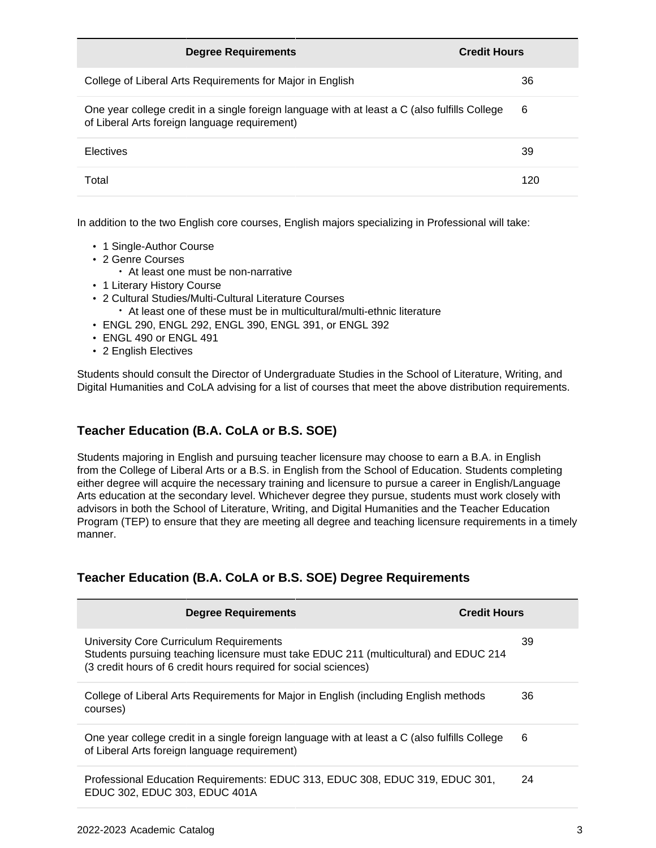| <b>Degree Requirements</b>                                                                                                                     | <b>Credit Hours</b> |
|------------------------------------------------------------------------------------------------------------------------------------------------|---------------------|
| College of Liberal Arts Requirements for Major in English                                                                                      | 36                  |
| One year college credit in a single foreign language with at least a C (also fulfills College<br>of Liberal Arts foreign language requirement) | 6                   |
| Electives                                                                                                                                      | 39                  |
| Total                                                                                                                                          | 120                 |

In addition to the two English core courses, English majors specializing in Professional will take:

- 1 Single-Author Course
- 2 Genre Courses
	- At least one must be non-narrative
- 1 Literary History Course
- 2 Cultural Studies/Multi-Cultural Literature Courses
	- At least one of these must be in multicultural/multi-ethnic literature
- ENGL 290, ENGL 292, ENGL 390, ENGL 391, or ENGL 392
- ENGL 490 or ENGL 491
- 2 English Electives

Students should consult the Director of Undergraduate Studies in the School of Literature, Writing, and Digital Humanities and CoLA advising for a list of courses that meet the above distribution requirements.

### **Teacher Education (B.A. CoLA or B.S. SOE)**

Students majoring in English and pursuing teacher licensure may choose to earn a B.A. in English from the College of Liberal Arts or a B.S. in English from the School of Education. Students completing either degree will acquire the necessary training and licensure to pursue a career in English/Language Arts education at the secondary level. Whichever degree they pursue, students must work closely with advisors in both the School of Literature, Writing, and Digital Humanities and the Teacher Education Program (TEP) to ensure that they are meeting all degree and teaching licensure requirements in a timely manner.

### **Teacher Education (B.A. CoLA or B.S. SOE) Degree Requirements**

| <b>Degree Requirements</b>                                                                                                                                                                         | <b>Credit Hours</b> |
|----------------------------------------------------------------------------------------------------------------------------------------------------------------------------------------------------|---------------------|
| University Core Curriculum Requirements<br>Students pursuing teaching licensure must take EDUC 211 (multicultural) and EDUC 214<br>(3 credit hours of 6 credit hours required for social sciences) | 39                  |
| College of Liberal Arts Requirements for Major in English (including English methods<br>courses)                                                                                                   | 36                  |
| One year college credit in a single foreign language with at least a C (also fulfills College<br>of Liberal Arts foreign language requirement)                                                     | 6                   |
| Professional Education Requirements: EDUC 313, EDUC 308, EDUC 319, EDUC 301,<br>EDUC 302, EDUC 303, EDUC 401A                                                                                      | 24                  |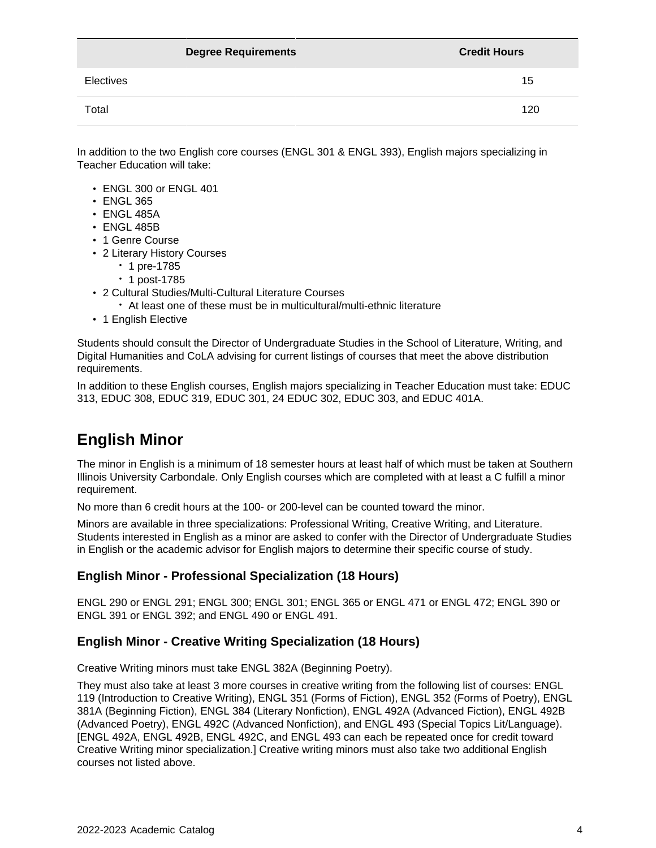|           | <b>Degree Requirements</b> | <b>Credit Hours</b> |
|-----------|----------------------------|---------------------|
| Electives |                            | 15                  |
| Total     |                            | 120                 |

In addition to the two English core courses (ENGL 301 & ENGL 393), English majors specializing in Teacher Education will take:

- ENGL 300 or ENGL 401
- ENGL 365
- ENGL 485A
- ENGL 485B
- 1 Genre Course
- 2 Literary History Courses
	- 1 pre-1785
	- 1 post-1785
- 2 Cultural Studies/Multi-Cultural Literature Courses
	- At least one of these must be in multicultural/multi-ethnic literature
- 1 English Elective

Students should consult the Director of Undergraduate Studies in the School of Literature, Writing, and Digital Humanities and CoLA advising for current listings of courses that meet the above distribution requirements.

In addition to these English courses, English majors specializing in Teacher Education must take: EDUC 313, EDUC 308, EDUC 319, EDUC 301, 24 EDUC 302, EDUC 303, and EDUC 401A.

# **English Minor**

The minor in English is a minimum of 18 semester hours at least half of which must be taken at Southern Illinois University Carbondale. Only English courses which are completed with at least a C fulfill a minor requirement.

No more than 6 credit hours at the 100- or 200-level can be counted toward the minor.

Minors are available in three specializations: Professional Writing, Creative Writing, and Literature. Students interested in English as a minor are asked to confer with the Director of Undergraduate Studies in English or the academic advisor for English majors to determine their specific course of study.

### **English Minor - Professional Specialization (18 Hours)**

ENGL 290 or ENGL 291; ENGL 300; ENGL 301; ENGL 365 or ENGL 471 or ENGL 472; ENGL 390 or ENGL 391 or ENGL 392; and ENGL 490 or ENGL 491.

### **English Minor - Creative Writing Specialization (18 Hours)**

Creative Writing minors must take ENGL 382A (Beginning Poetry).

They must also take at least 3 more courses in creative writing from the following list of courses: ENGL 119 (Introduction to Creative Writing), ENGL 351 (Forms of Fiction), ENGL 352 (Forms of Poetry), ENGL 381A (Beginning Fiction), ENGL 384 (Literary Nonfiction), ENGL 492A (Advanced Fiction), ENGL 492B (Advanced Poetry), ENGL 492C (Advanced Nonfiction), and ENGL 493 (Special Topics Lit/Language). [ENGL 492A, ENGL 492B, ENGL 492C, and ENGL 493 can each be repeated once for credit toward Creative Writing minor specialization.] Creative writing minors must also take two additional English courses not listed above.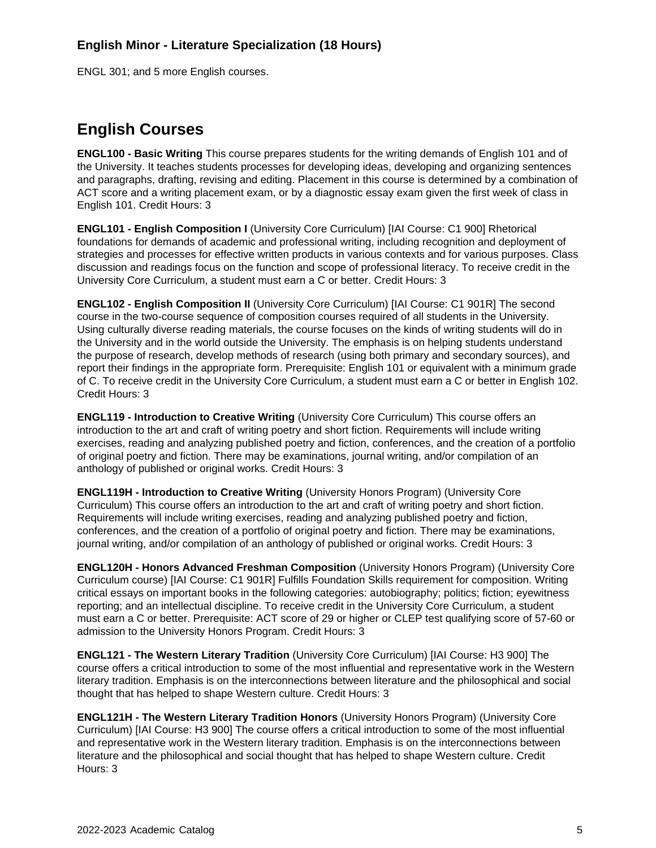### **English Minor - Literature Specialization (18 Hours)**

ENGL 301; and 5 more English courses.

# **English Courses**

**ENGL100 - Basic Writing** This course prepares students for the writing demands of English 101 and of the University. It teaches students processes for developing ideas, developing and organizing sentences and paragraphs, drafting, revising and editing. Placement in this course is determined by a combination of ACT score and a writing placement exam, or by a diagnostic essay exam given the first week of class in English 101. Credit Hours: 3

**ENGL101 - English Composition I** (University Core Curriculum) [IAI Course: C1 900] Rhetorical foundations for demands of academic and professional writing, including recognition and deployment of strategies and processes for effective written products in various contexts and for various purposes. Class discussion and readings focus on the function and scope of professional literacy. To receive credit in the University Core Curriculum, a student must earn a C or better. Credit Hours: 3

**ENGL102 - English Composition II** (University Core Curriculum) [IAI Course: C1 901R] The second course in the two-course sequence of composition courses required of all students in the University. Using culturally diverse reading materials, the course focuses on the kinds of writing students will do in the University and in the world outside the University. The emphasis is on helping students understand the purpose of research, develop methods of research (using both primary and secondary sources), and report their findings in the appropriate form. Prerequisite: English 101 or equivalent with a minimum grade of C. To receive credit in the University Core Curriculum, a student must earn a C or better in English 102. Credit Hours: 3

**ENGL119 - Introduction to Creative Writing** (University Core Curriculum) This course offers an introduction to the art and craft of writing poetry and short fiction. Requirements will include writing exercises, reading and analyzing published poetry and fiction, conferences, and the creation of a portfolio of original poetry and fiction. There may be examinations, journal writing, and/or compilation of an anthology of published or original works. Credit Hours: 3

**ENGL119H - Introduction to Creative Writing** (University Honors Program) (University Core Curriculum) This course offers an introduction to the art and craft of writing poetry and short fiction. Requirements will include writing exercises, reading and analyzing published poetry and fiction, conferences, and the creation of a portfolio of original poetry and fiction. There may be examinations, journal writing, and/or compilation of an anthology of published or original works. Credit Hours: 3

**ENGL120H - Honors Advanced Freshman Composition** (University Honors Program) (University Core Curriculum course) [IAI Course: C1 901R] Fulfills Foundation Skills requirement for composition. Writing critical essays on important books in the following categories: autobiography; politics; fiction; eyewitness reporting; and an intellectual discipline. To receive credit in the University Core Curriculum, a student must earn a C or better. Prerequisite: ACT score of 29 or higher or CLEP test qualifying score of 57-60 or admission to the University Honors Program. Credit Hours: 3

**ENGL121 - The Western Literary Tradition** (University Core Curriculum) [IAI Course: H3 900] The course offers a critical introduction to some of the most influential and representative work in the Western literary tradition. Emphasis is on the interconnections between literature and the philosophical and social thought that has helped to shape Western culture. Credit Hours: 3

**ENGL121H - The Western Literary Tradition Honors** (University Honors Program) (University Core Curriculum) [IAI Course: H3 900] The course offers a critical introduction to some of the most influential and representative work in the Western literary tradition. Emphasis is on the interconnections between literature and the philosophical and social thought that has helped to shape Western culture. Credit Hours: 3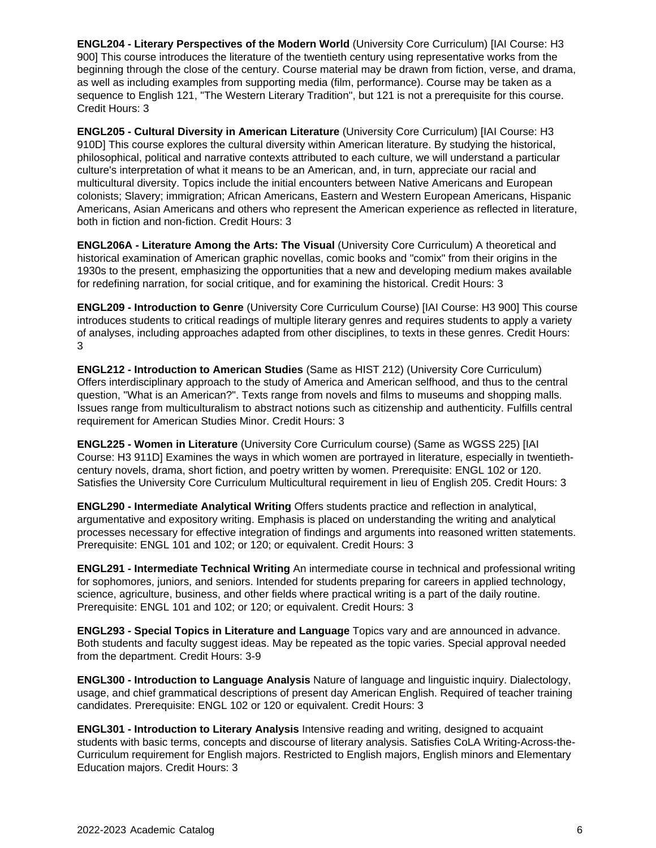**ENGL204 - Literary Perspectives of the Modern World** (University Core Curriculum) [IAI Course: H3 900] This course introduces the literature of the twentieth century using representative works from the beginning through the close of the century. Course material may be drawn from fiction, verse, and drama, as well as including examples from supporting media (film, performance). Course may be taken as a sequence to English 121, "The Western Literary Tradition", but 121 is not a prerequisite for this course. Credit Hours: 3

**ENGL205 - Cultural Diversity in American Literature** (University Core Curriculum) [IAI Course: H3 910D] This course explores the cultural diversity within American literature. By studying the historical, philosophical, political and narrative contexts attributed to each culture, we will understand a particular culture's interpretation of what it means to be an American, and, in turn, appreciate our racial and multicultural diversity. Topics include the initial encounters between Native Americans and European colonists; Slavery; immigration; African Americans, Eastern and Western European Americans, Hispanic Americans, Asian Americans and others who represent the American experience as reflected in literature, both in fiction and non-fiction. Credit Hours: 3

**ENGL206A - Literature Among the Arts: The Visual** (University Core Curriculum) A theoretical and historical examination of American graphic novellas, comic books and "comix" from their origins in the 1930s to the present, emphasizing the opportunities that a new and developing medium makes available for redefining narration, for social critique, and for examining the historical. Credit Hours: 3

**ENGL209 - Introduction to Genre** (University Core Curriculum Course) [IAI Course: H3 900] This course introduces students to critical readings of multiple literary genres and requires students to apply a variety of analyses, including approaches adapted from other disciplines, to texts in these genres. Credit Hours: 3

**ENGL212 - Introduction to American Studies** (Same as HIST 212) (University Core Curriculum) Offers interdisciplinary approach to the study of America and American selfhood, and thus to the central question, "What is an American?". Texts range from novels and films to museums and shopping malls. Issues range from multiculturalism to abstract notions such as citizenship and authenticity. Fulfills central requirement for American Studies Minor. Credit Hours: 3

**ENGL225 - Women in Literature** (University Core Curriculum course) (Same as WGSS 225) [IAI Course: H3 911D] Examines the ways in which women are portrayed in literature, especially in twentiethcentury novels, drama, short fiction, and poetry written by women. Prerequisite: ENGL 102 or 120. Satisfies the University Core Curriculum Multicultural requirement in lieu of English 205. Credit Hours: 3

**ENGL290 - Intermediate Analytical Writing** Offers students practice and reflection in analytical, argumentative and expository writing. Emphasis is placed on understanding the writing and analytical processes necessary for effective integration of findings and arguments into reasoned written statements. Prerequisite: ENGL 101 and 102; or 120; or equivalent. Credit Hours: 3

**ENGL291 - Intermediate Technical Writing** An intermediate course in technical and professional writing for sophomores, juniors, and seniors. Intended for students preparing for careers in applied technology, science, agriculture, business, and other fields where practical writing is a part of the daily routine. Prerequisite: ENGL 101 and 102; or 120; or equivalent. Credit Hours: 3

**ENGL293 - Special Topics in Literature and Language** Topics vary and are announced in advance. Both students and faculty suggest ideas. May be repeated as the topic varies. Special approval needed from the department. Credit Hours: 3-9

**ENGL300 - Introduction to Language Analysis** Nature of language and linguistic inquiry. Dialectology, usage, and chief grammatical descriptions of present day American English. Required of teacher training candidates. Prerequisite: ENGL 102 or 120 or equivalent. Credit Hours: 3

**ENGL301 - Introduction to Literary Analysis** Intensive reading and writing, designed to acquaint students with basic terms, concepts and discourse of literary analysis. Satisfies CoLA Writing-Across-the-Curriculum requirement for English majors. Restricted to English majors, English minors and Elementary Education majors. Credit Hours: 3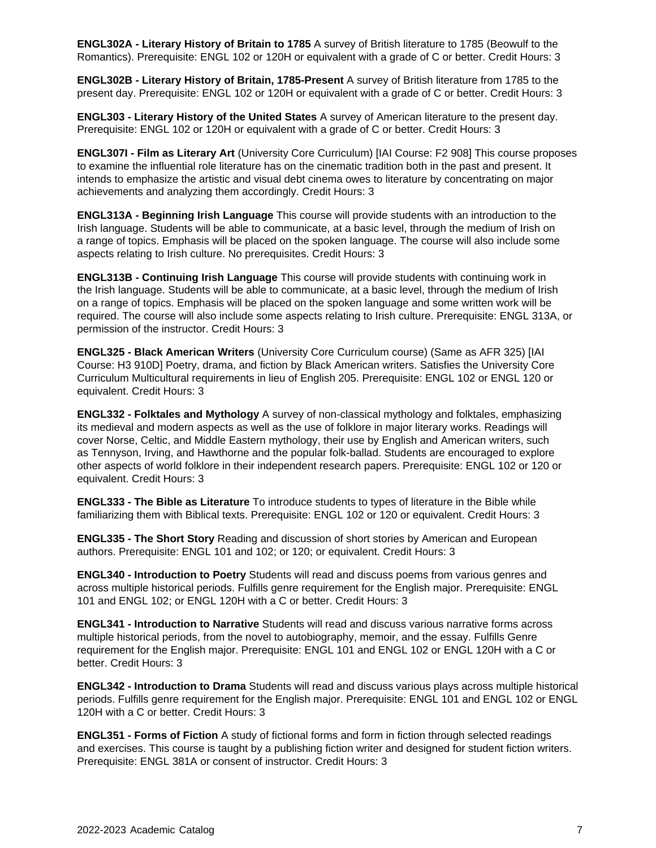**ENGL302A - Literary History of Britain to 1785** A survey of British literature to 1785 (Beowulf to the Romantics). Prerequisite: ENGL 102 or 120H or equivalent with a grade of C or better. Credit Hours: 3

**ENGL302B - Literary History of Britain, 1785-Present** A survey of British literature from 1785 to the present day. Prerequisite: ENGL 102 or 120H or equivalent with a grade of C or better. Credit Hours: 3

**ENGL303 - Literary History of the United States** A survey of American literature to the present day. Prerequisite: ENGL 102 or 120H or equivalent with a grade of C or better. Credit Hours: 3

**ENGL307I - Film as Literary Art** (University Core Curriculum) [IAI Course: F2 908] This course proposes to examine the influential role literature has on the cinematic tradition both in the past and present. It intends to emphasize the artistic and visual debt cinema owes to literature by concentrating on major achievements and analyzing them accordingly. Credit Hours: 3

**ENGL313A - Beginning Irish Language** This course will provide students with an introduction to the Irish language. Students will be able to communicate, at a basic level, through the medium of Irish on a range of topics. Emphasis will be placed on the spoken language. The course will also include some aspects relating to Irish culture. No prerequisites. Credit Hours: 3

**ENGL313B - Continuing Irish Language** This course will provide students with continuing work in the Irish language. Students will be able to communicate, at a basic level, through the medium of Irish on a range of topics. Emphasis will be placed on the spoken language and some written work will be required. The course will also include some aspects relating to Irish culture. Prerequisite: ENGL 313A, or permission of the instructor. Credit Hours: 3

**ENGL325 - Black American Writers** (University Core Curriculum course) (Same as AFR 325) [IAI Course: H3 910D] Poetry, drama, and fiction by Black American writers. Satisfies the University Core Curriculum Multicultural requirements in lieu of English 205. Prerequisite: ENGL 102 or ENGL 120 or equivalent. Credit Hours: 3

**ENGL332 - Folktales and Mythology** A survey of non-classical mythology and folktales, emphasizing its medieval and modern aspects as well as the use of folklore in major literary works. Readings will cover Norse, Celtic, and Middle Eastern mythology, their use by English and American writers, such as Tennyson, Irving, and Hawthorne and the popular folk-ballad. Students are encouraged to explore other aspects of world folklore in their independent research papers. Prerequisite: ENGL 102 or 120 or equivalent. Credit Hours: 3

**ENGL333 - The Bible as Literature** To introduce students to types of literature in the Bible while familiarizing them with Biblical texts. Prerequisite: ENGL 102 or 120 or equivalent. Credit Hours: 3

**ENGL335 - The Short Story** Reading and discussion of short stories by American and European authors. Prerequisite: ENGL 101 and 102; or 120; or equivalent. Credit Hours: 3

**ENGL340 - Introduction to Poetry** Students will read and discuss poems from various genres and across multiple historical periods. Fulfills genre requirement for the English major. Prerequisite: ENGL 101 and ENGL 102; or ENGL 120H with a C or better. Credit Hours: 3

**ENGL341 - Introduction to Narrative** Students will read and discuss various narrative forms across multiple historical periods, from the novel to autobiography, memoir, and the essay. Fulfills Genre requirement for the English major. Prerequisite: ENGL 101 and ENGL 102 or ENGL 120H with a C or better. Credit Hours: 3

**ENGL342 - Introduction to Drama** Students will read and discuss various plays across multiple historical periods. Fulfills genre requirement for the English major. Prerequisite: ENGL 101 and ENGL 102 or ENGL 120H with a C or better. Credit Hours: 3

**ENGL351 - Forms of Fiction** A study of fictional forms and form in fiction through selected readings and exercises. This course is taught by a publishing fiction writer and designed for student fiction writers. Prerequisite: ENGL 381A or consent of instructor. Credit Hours: 3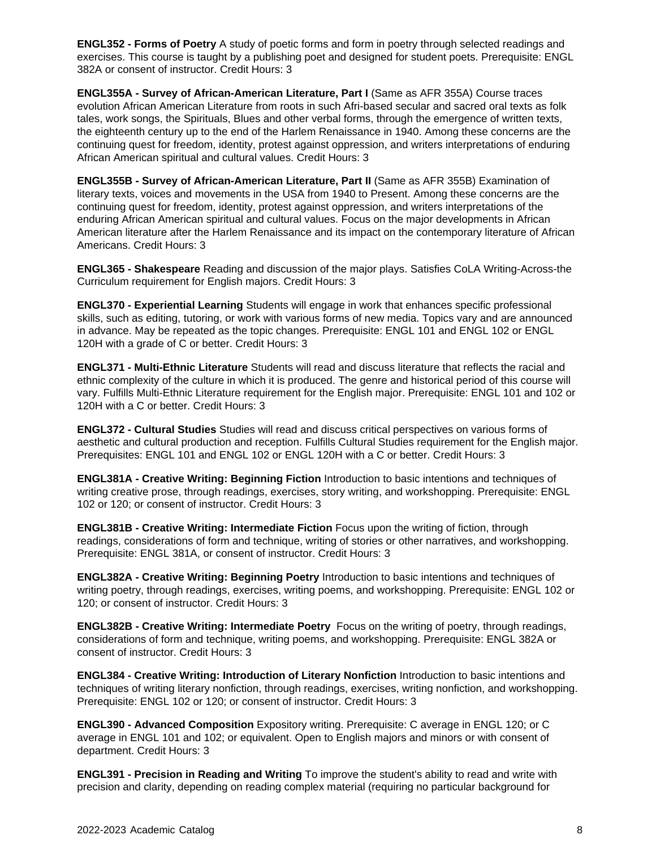**ENGL352 - Forms of Poetry** A study of poetic forms and form in poetry through selected readings and exercises. This course is taught by a publishing poet and designed for student poets. Prerequisite: ENGL 382A or consent of instructor. Credit Hours: 3

**ENGL355A - Survey of African-American Literature, Part I** (Same as AFR 355A) Course traces evolution African American Literature from roots in such Afri-based secular and sacred oral texts as folk tales, work songs, the Spirituals, Blues and other verbal forms, through the emergence of written texts, the eighteenth century up to the end of the Harlem Renaissance in 1940. Among these concerns are the continuing quest for freedom, identity, protest against oppression, and writers interpretations of enduring African American spiritual and cultural values. Credit Hours: 3

**ENGL355B - Survey of African-American Literature, Part II** (Same as AFR 355B) Examination of literary texts, voices and movements in the USA from 1940 to Present. Among these concerns are the continuing quest for freedom, identity, protest against oppression, and writers interpretations of the enduring African American spiritual and cultural values. Focus on the major developments in African American literature after the Harlem Renaissance and its impact on the contemporary literature of African Americans. Credit Hours: 3

**ENGL365 - Shakespeare** Reading and discussion of the major plays. Satisfies CoLA Writing-Across-the Curriculum requirement for English majors. Credit Hours: 3

**ENGL370 - Experiential Learning** Students will engage in work that enhances specific professional skills, such as editing, tutoring, or work with various forms of new media. Topics vary and are announced in advance. May be repeated as the topic changes. Prerequisite: ENGL 101 and ENGL 102 or ENGL 120H with a grade of C or better. Credit Hours: 3

**ENGL371 - Multi-Ethnic Literature** Students will read and discuss literature that reflects the racial and ethnic complexity of the culture in which it is produced. The genre and historical period of this course will vary. Fulfills Multi-Ethnic Literature requirement for the English major. Prerequisite: ENGL 101 and 102 or 120H with a C or better. Credit Hours: 3

**ENGL372 - Cultural Studies** Studies will read and discuss critical perspectives on various forms of aesthetic and cultural production and reception. Fulfills Cultural Studies requirement for the English major. Prerequisites: ENGL 101 and ENGL 102 or ENGL 120H with a C or better. Credit Hours: 3

**ENGL381A - Creative Writing: Beginning Fiction** Introduction to basic intentions and techniques of writing creative prose, through readings, exercises, story writing, and workshopping. Prerequisite: ENGL 102 or 120; or consent of instructor. Credit Hours: 3

**ENGL381B - Creative Writing: Intermediate Fiction** Focus upon the writing of fiction, through readings, considerations of form and technique, writing of stories or other narratives, and workshopping. Prerequisite: ENGL 381A, or consent of instructor. Credit Hours: 3

**ENGL382A - Creative Writing: Beginning Poetry** Introduction to basic intentions and techniques of writing poetry, through readings, exercises, writing poems, and workshopping. Prerequisite: ENGL 102 or 120; or consent of instructor. Credit Hours: 3

**ENGL382B - Creative Writing: Intermediate Poetry** Focus on the writing of poetry, through readings, considerations of form and technique, writing poems, and workshopping. Prerequisite: ENGL 382A or consent of instructor. Credit Hours: 3

**ENGL384 - Creative Writing: Introduction of Literary Nonfiction** Introduction to basic intentions and techniques of writing literary nonfiction, through readings, exercises, writing nonfiction, and workshopping. Prerequisite: ENGL 102 or 120; or consent of instructor. Credit Hours: 3

**ENGL390 - Advanced Composition** Expository writing. Prerequisite: C average in ENGL 120; or C average in ENGL 101 and 102; or equivalent. Open to English majors and minors or with consent of department. Credit Hours: 3

**ENGL391 - Precision in Reading and Writing** To improve the student's ability to read and write with precision and clarity, depending on reading complex material (requiring no particular background for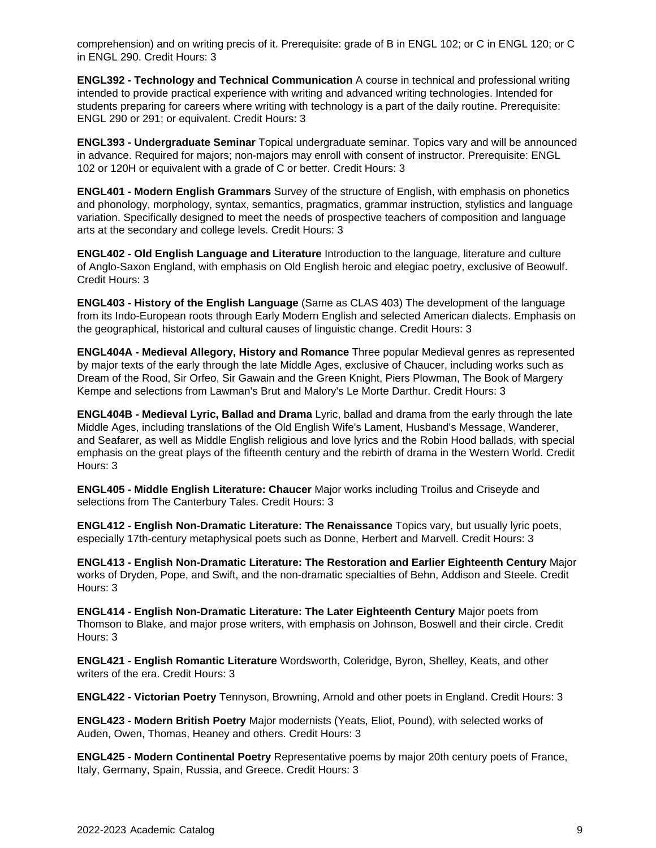comprehension) and on writing precis of it. Prerequisite: grade of B in ENGL 102; or C in ENGL 120; or C in ENGL 290. Credit Hours: 3

**ENGL392 - Technology and Technical Communication** A course in technical and professional writing intended to provide practical experience with writing and advanced writing technologies. Intended for students preparing for careers where writing with technology is a part of the daily routine. Prerequisite: ENGL 290 or 291; or equivalent. Credit Hours: 3

**ENGL393 - Undergraduate Seminar** Topical undergraduate seminar. Topics vary and will be announced in advance. Required for majors; non-majors may enroll with consent of instructor. Prerequisite: ENGL 102 or 120H or equivalent with a grade of C or better. Credit Hours: 3

**ENGL401 - Modern English Grammars** Survey of the structure of English, with emphasis on phonetics and phonology, morphology, syntax, semantics, pragmatics, grammar instruction, stylistics and language variation. Specifically designed to meet the needs of prospective teachers of composition and language arts at the secondary and college levels. Credit Hours: 3

**ENGL402 - Old English Language and Literature** Introduction to the language, literature and culture of Anglo-Saxon England, with emphasis on Old English heroic and elegiac poetry, exclusive of Beowulf. Credit Hours: 3

**ENGL403 - History of the English Language** (Same as CLAS 403) The development of the language from its Indo-European roots through Early Modern English and selected American dialects. Emphasis on the geographical, historical and cultural causes of linguistic change. Credit Hours: 3

**ENGL404A - Medieval Allegory, History and Romance** Three popular Medieval genres as represented by major texts of the early through the late Middle Ages, exclusive of Chaucer, including works such as Dream of the Rood, Sir Orfeo, Sir Gawain and the Green Knight, Piers Plowman, The Book of Margery Kempe and selections from Lawman's Brut and Malory's Le Morte Darthur. Credit Hours: 3

**ENGL404B - Medieval Lyric, Ballad and Drama** Lyric, ballad and drama from the early through the late Middle Ages, including translations of the Old English Wife's Lament, Husband's Message, Wanderer, and Seafarer, as well as Middle English religious and love lyrics and the Robin Hood ballads, with special emphasis on the great plays of the fifteenth century and the rebirth of drama in the Western World. Credit Hours: 3

**ENGL405 - Middle English Literature: Chaucer** Major works including Troilus and Criseyde and selections from The Canterbury Tales. Credit Hours: 3

**ENGL412 - English Non-Dramatic Literature: The Renaissance** Topics vary, but usually lyric poets, especially 17th-century metaphysical poets such as Donne, Herbert and Marvell. Credit Hours: 3

**ENGL413 - English Non-Dramatic Literature: The Restoration and Earlier Eighteenth Century** Major works of Dryden, Pope, and Swift, and the non-dramatic specialties of Behn, Addison and Steele. Credit Hours: 3

**ENGL414 - English Non-Dramatic Literature: The Later Eighteenth Century** Major poets from Thomson to Blake, and major prose writers, with emphasis on Johnson, Boswell and their circle. Credit Hours: 3

**ENGL421 - English Romantic Literature** Wordsworth, Coleridge, Byron, Shelley, Keats, and other writers of the era. Credit Hours: 3

**ENGL422 - Victorian Poetry** Tennyson, Browning, Arnold and other poets in England. Credit Hours: 3

**ENGL423 - Modern British Poetry** Major modernists (Yeats, Eliot, Pound), with selected works of Auden, Owen, Thomas, Heaney and others. Credit Hours: 3

**ENGL425 - Modern Continental Poetry** Representative poems by major 20th century poets of France, Italy, Germany, Spain, Russia, and Greece. Credit Hours: 3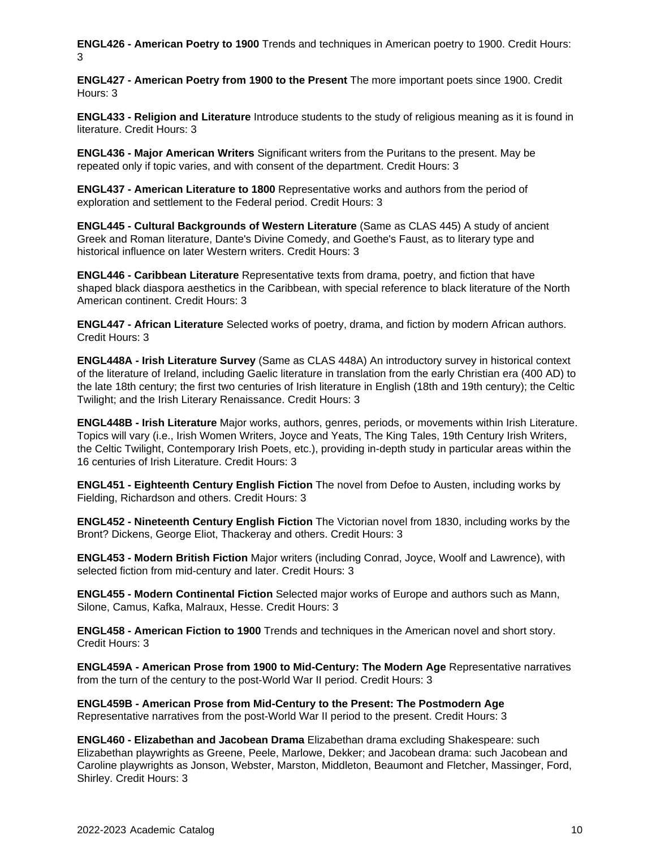**ENGL426 - American Poetry to 1900** Trends and techniques in American poetry to 1900. Credit Hours: 3

**ENGL427 - American Poetry from 1900 to the Present** The more important poets since 1900. Credit Hours: 3

**ENGL433 - Religion and Literature** Introduce students to the study of religious meaning as it is found in literature. Credit Hours: 3

**ENGL436 - Major American Writers** Significant writers from the Puritans to the present. May be repeated only if topic varies, and with consent of the department. Credit Hours: 3

**ENGL437 - American Literature to 1800** Representative works and authors from the period of exploration and settlement to the Federal period. Credit Hours: 3

**ENGL445 - Cultural Backgrounds of Western Literature** (Same as CLAS 445) A study of ancient Greek and Roman literature, Dante's Divine Comedy, and Goethe's Faust, as to literary type and historical influence on later Western writers. Credit Hours: 3

**ENGL446 - Caribbean Literature** Representative texts from drama, poetry, and fiction that have shaped black diaspora aesthetics in the Caribbean, with special reference to black literature of the North American continent. Credit Hours: 3

**ENGL447 - African Literature** Selected works of poetry, drama, and fiction by modern African authors. Credit Hours: 3

**ENGL448A - Irish Literature Survey** (Same as CLAS 448A) An introductory survey in historical context of the literature of Ireland, including Gaelic literature in translation from the early Christian era (400 AD) to the late 18th century; the first two centuries of Irish literature in English (18th and 19th century); the Celtic Twilight; and the Irish Literary Renaissance. Credit Hours: 3

**ENGL448B - Irish Literature** Major works, authors, genres, periods, or movements within Irish Literature. Topics will vary (i.e., Irish Women Writers, Joyce and Yeats, The King Tales, 19th Century Irish Writers, the Celtic Twilight, Contemporary Irish Poets, etc.), providing in-depth study in particular areas within the 16 centuries of Irish Literature. Credit Hours: 3

**ENGL451 - Eighteenth Century English Fiction** The novel from Defoe to Austen, including works by Fielding, Richardson and others. Credit Hours: 3

**ENGL452 - Nineteenth Century English Fiction** The Victorian novel from 1830, including works by the Bront? Dickens, George Eliot, Thackeray and others. Credit Hours: 3

**ENGL453 - Modern British Fiction** Major writers (including Conrad, Joyce, Woolf and Lawrence), with selected fiction from mid-century and later. Credit Hours: 3

**ENGL455 - Modern Continental Fiction** Selected major works of Europe and authors such as Mann, Silone, Camus, Kafka, Malraux, Hesse. Credit Hours: 3

**ENGL458 - American Fiction to 1900** Trends and techniques in the American novel and short story. Credit Hours: 3

**ENGL459A - American Prose from 1900 to Mid-Century: The Modern Age** Representative narratives from the turn of the century to the post-World War II period. Credit Hours: 3

**ENGL459B - American Prose from Mid-Century to the Present: The Postmodern Age** Representative narratives from the post-World War II period to the present. Credit Hours: 3

**ENGL460 - Elizabethan and Jacobean Drama** Elizabethan drama excluding Shakespeare: such Elizabethan playwrights as Greene, Peele, Marlowe, Dekker; and Jacobean drama: such Jacobean and Caroline playwrights as Jonson, Webster, Marston, Middleton, Beaumont and Fletcher, Massinger, Ford, Shirley. Credit Hours: 3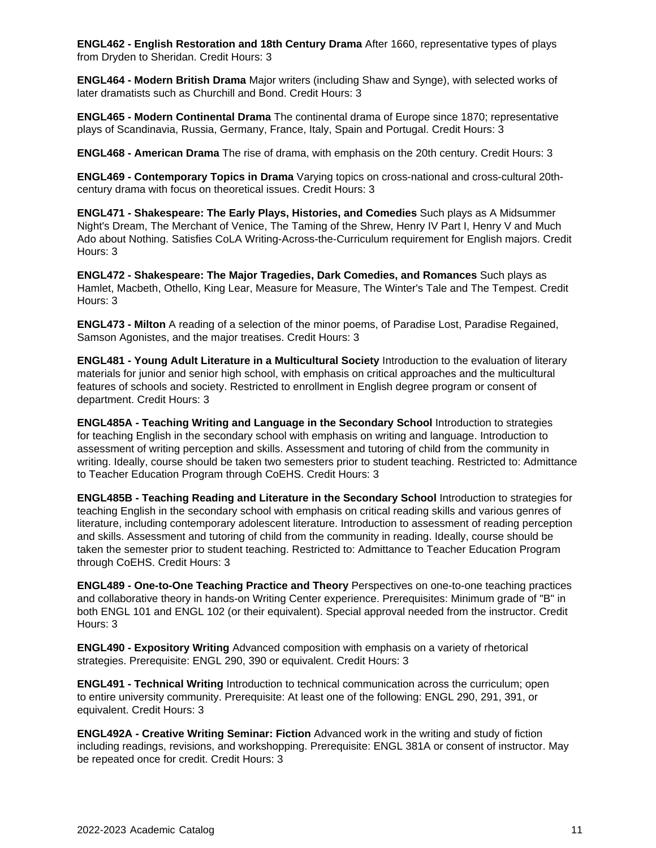**ENGL462 - English Restoration and 18th Century Drama** After 1660, representative types of plays from Dryden to Sheridan. Credit Hours: 3

**ENGL464 - Modern British Drama** Major writers (including Shaw and Synge), with selected works of later dramatists such as Churchill and Bond. Credit Hours: 3

**ENGL465 - Modern Continental Drama** The continental drama of Europe since 1870; representative plays of Scandinavia, Russia, Germany, France, Italy, Spain and Portugal. Credit Hours: 3

**ENGL468 - American Drama** The rise of drama, with emphasis on the 20th century. Credit Hours: 3

**ENGL469 - Contemporary Topics in Drama** Varying topics on cross-national and cross-cultural 20thcentury drama with focus on theoretical issues. Credit Hours: 3

**ENGL471 - Shakespeare: The Early Plays, Histories, and Comedies** Such plays as A Midsummer Night's Dream, The Merchant of Venice, The Taming of the Shrew, Henry IV Part I, Henry V and Much Ado about Nothing. Satisfies CoLA Writing-Across-the-Curriculum requirement for English majors. Credit Hours: 3

**ENGL472 - Shakespeare: The Major Tragedies, Dark Comedies, and Romances** Such plays as Hamlet, Macbeth, Othello, King Lear, Measure for Measure, The Winter's Tale and The Tempest. Credit Hours: 3

**ENGL473 - Milton** A reading of a selection of the minor poems, of Paradise Lost, Paradise Regained, Samson Agonistes, and the major treatises. Credit Hours: 3

**ENGL481 - Young Adult Literature in a Multicultural Society** Introduction to the evaluation of literary materials for junior and senior high school, with emphasis on critical approaches and the multicultural features of schools and society. Restricted to enrollment in English degree program or consent of department. Credit Hours: 3

**ENGL485A - Teaching Writing and Language in the Secondary School** Introduction to strategies for teaching English in the secondary school with emphasis on writing and language. Introduction to assessment of writing perception and skills. Assessment and tutoring of child from the community in writing. Ideally, course should be taken two semesters prior to student teaching. Restricted to: Admittance to Teacher Education Program through CoEHS. Credit Hours: 3

**ENGL485B - Teaching Reading and Literature in the Secondary School** Introduction to strategies for teaching English in the secondary school with emphasis on critical reading skills and various genres of literature, including contemporary adolescent literature. Introduction to assessment of reading perception and skills. Assessment and tutoring of child from the community in reading. Ideally, course should be taken the semester prior to student teaching. Restricted to: Admittance to Teacher Education Program through CoEHS. Credit Hours: 3

**ENGL489 - One-to-One Teaching Practice and Theory** Perspectives on one-to-one teaching practices and collaborative theory in hands-on Writing Center experience. Prerequisites: Minimum grade of "B" in both ENGL 101 and ENGL 102 (or their equivalent). Special approval needed from the instructor. Credit Hours: 3

**ENGL490 - Expository Writing** Advanced composition with emphasis on a variety of rhetorical strategies. Prerequisite: ENGL 290, 390 or equivalent. Credit Hours: 3

**ENGL491 - Technical Writing** Introduction to technical communication across the curriculum; open to entire university community. Prerequisite: At least one of the following: ENGL 290, 291, 391, or equivalent. Credit Hours: 3

**ENGL492A - Creative Writing Seminar: Fiction** Advanced work in the writing and study of fiction including readings, revisions, and workshopping. Prerequisite: ENGL 381A or consent of instructor. May be repeated once for credit. Credit Hours: 3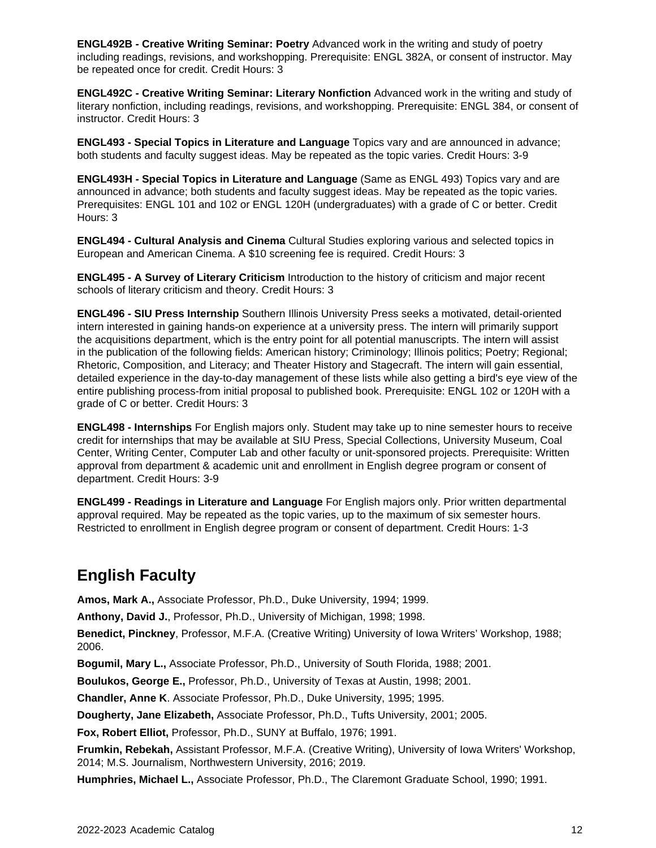**ENGL492B - Creative Writing Seminar: Poetry** Advanced work in the writing and study of poetry including readings, revisions, and workshopping. Prerequisite: ENGL 382A, or consent of instructor. May be repeated once for credit. Credit Hours: 3

**ENGL492C - Creative Writing Seminar: Literary Nonfiction** Advanced work in the writing and study of literary nonfiction, including readings, revisions, and workshopping. Prerequisite: ENGL 384, or consent of instructor. Credit Hours: 3

**ENGL493 - Special Topics in Literature and Language** Topics vary and are announced in advance; both students and faculty suggest ideas. May be repeated as the topic varies. Credit Hours: 3-9

**ENGL493H - Special Topics in Literature and Language** (Same as ENGL 493) Topics vary and are announced in advance; both students and faculty suggest ideas. May be repeated as the topic varies. Prerequisites: ENGL 101 and 102 or ENGL 120H (undergraduates) with a grade of C or better. Credit Hours: 3

**ENGL494 - Cultural Analysis and Cinema** Cultural Studies exploring various and selected topics in European and American Cinema. A \$10 screening fee is required. Credit Hours: 3

**ENGL495 - A Survey of Literary Criticism** Introduction to the history of criticism and major recent schools of literary criticism and theory. Credit Hours: 3

**ENGL496 - SIU Press Internship** Southern Illinois University Press seeks a motivated, detail-oriented intern interested in gaining hands-on experience at a university press. The intern will primarily support the acquisitions department, which is the entry point for all potential manuscripts. The intern will assist in the publication of the following fields: American history; Criminology; Illinois politics; Poetry; Regional; Rhetoric, Composition, and Literacy; and Theater History and Stagecraft. The intern will gain essential, detailed experience in the day-to-day management of these lists while also getting a bird's eye view of the entire publishing process-from initial proposal to published book. Prerequisite: ENGL 102 or 120H with a grade of C or better. Credit Hours: 3

**ENGL498 - Internships** For English majors only. Student may take up to nine semester hours to receive credit for internships that may be available at SIU Press, Special Collections, University Museum, Coal Center, Writing Center, Computer Lab and other faculty or unit-sponsored projects. Prerequisite: Written approval from department & academic unit and enrollment in English degree program or consent of department. Credit Hours: 3-9

**ENGL499 - Readings in Literature and Language** For English majors only. Prior written departmental approval required. May be repeated as the topic varies, up to the maximum of six semester hours. Restricted to enrollment in English degree program or consent of department. Credit Hours: 1-3

# **English Faculty**

**Amos, Mark A.,** Associate Professor, Ph.D., Duke University, 1994; 1999.

**Anthony, David J.**, Professor, Ph.D., University of Michigan, 1998; 1998.

**Benedict, Pinckney**, Professor, M.F.A. (Creative Writing) University of Iowa Writers' Workshop, 1988; 2006.

**Bogumil, Mary L.,** Associate Professor, Ph.D., University of South Florida, 1988; 2001.

**Boulukos, George E.,** Professor, Ph.D., University of Texas at Austin, 1998; 2001.

**Chandler, Anne K**. Associate Professor, Ph.D., Duke University, 1995; 1995.

**Dougherty, Jane Elizabeth,** Associate Professor, Ph.D., Tufts University, 2001; 2005.

**Fox, Robert Elliot,** Professor, Ph.D., SUNY at Buffalo, 1976; 1991.

**Frumkin, Rebekah,** Assistant Professor, M.F.A. (Creative Writing), University of Iowa Writers' Workshop, 2014; M.S. Journalism, Northwestern University, 2016; 2019.

**Humphries, Michael L.,** Associate Professor, Ph.D., The Claremont Graduate School, 1990; 1991.